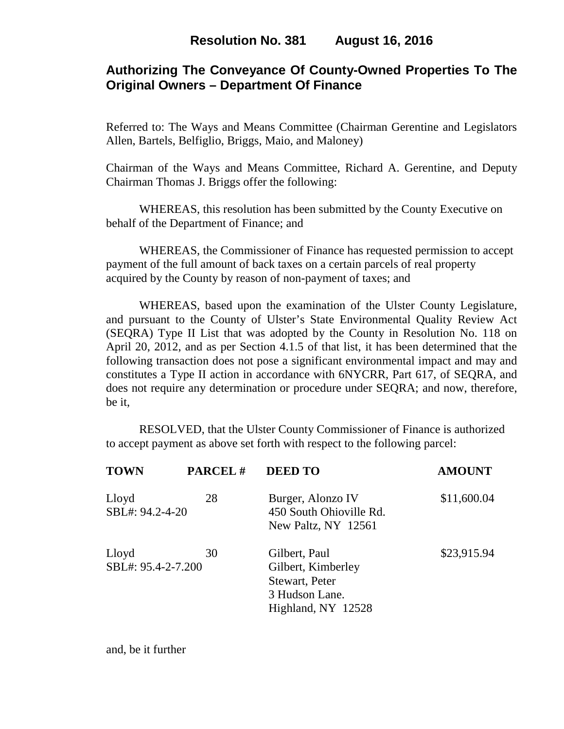# **Authorizing The Conveyance Of County-Owned Properties To The Original Owners – Department Of Finance**

Referred to: The Ways and Means Committee (Chairman Gerentine and Legislators Allen, Bartels, Belfiglio, Briggs, Maio, and Maloney)

Chairman of the Ways and Means Committee, Richard A. Gerentine, and Deputy Chairman Thomas J. Briggs offer the following:

 WHEREAS, this resolution has been submitted by the County Executive on behalf of the Department of Finance; and

 WHEREAS, the Commissioner of Finance has requested permission to accept payment of the full amount of back taxes on a certain parcels of real property acquired by the County by reason of non-payment of taxes; and

WHEREAS, based upon the examination of the Ulster County Legislature, and pursuant to the County of Ulster's State Environmental Quality Review Act (SEQRA) Type II List that was adopted by the County in Resolution No. 118 on April 20, 2012, and as per Section 4.1.5 of that list, it has been determined that the following transaction does not pose a significant environmental impact and may and constitutes a Type II action in accordance with 6NYCRR, Part 617, of SEQRA, and does not require any determination or procedure under SEQRA; and now, therefore, be it,

 RESOLVED, that the Ulster County Commissioner of Finance is authorized to accept payment as above set forth with respect to the following parcel:

| <b>TOWN</b>                 | PARCEL# | <b>DEED TO</b>                                                                                | <b>AMOUNT</b> |
|-----------------------------|---------|-----------------------------------------------------------------------------------------------|---------------|
| Lloyd<br>SBL#: 94.2-4-20    | 28      | Burger, Alonzo IV<br>450 South Ohioville Rd.<br>New Paltz, NY 12561                           | \$11,600.04   |
| Lloyd<br>SBL#: 95.4-2-7.200 | 30      | Gilbert, Paul<br>Gilbert, Kimberley<br>Stewart, Peter<br>3 Hudson Lane.<br>Highland, NY 12528 | \$23,915.94   |

and, be it further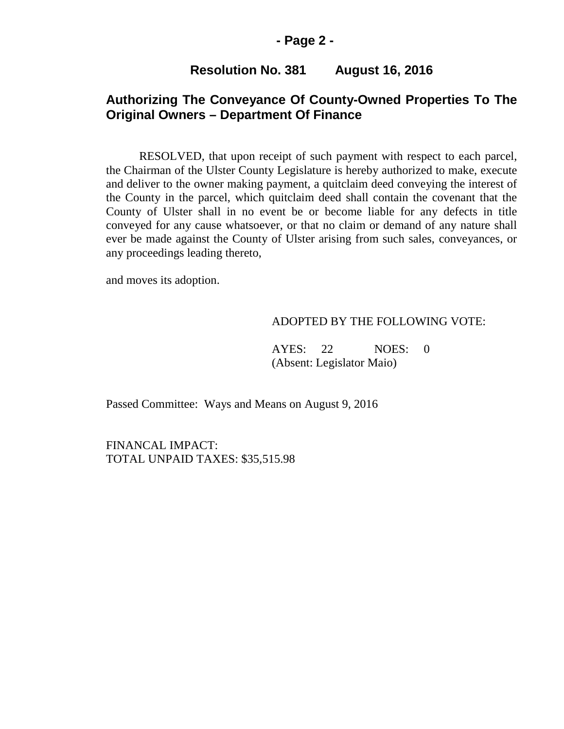### **- Page 2 -**

### **Resolution No. 381 August 16, 2016**

# **Authorizing The Conveyance Of County-Owned Properties To The Original Owners – Department Of Finance**

RESOLVED, that upon receipt of such payment with respect to each parcel, the Chairman of the Ulster County Legislature is hereby authorized to make, execute and deliver to the owner making payment, a quitclaim deed conveying the interest of the County in the parcel, which quitclaim deed shall contain the covenant that the County of Ulster shall in no event be or become liable for any defects in title conveyed for any cause whatsoever, or that no claim or demand of any nature shall ever be made against the County of Ulster arising from such sales, conveyances, or any proceedings leading thereto,

and moves its adoption.

#### ADOPTED BY THE FOLLOWING VOTE:

AYES: 22 NOES: 0 (Absent: Legislator Maio)

Passed Committee: Ways and Means on August 9, 2016

FINANCAL IMPACT: TOTAL UNPAID TAXES: \$35,515.98